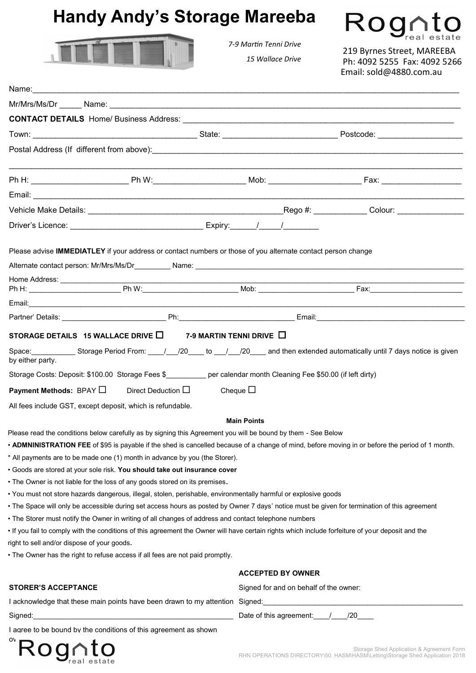### **Handy Andy's Storage Mareeba**



*7-9 Martin Tenni Drive* 

 *15 Wallace Drive*

Rognto 219 Byrnes Street, MAREEBA Ph: 4092 5255 Fax: 4092 5266 Email: sold@4880.com.au

| Name:                                                                                                                                                                                                                                    |                                        |                                                                                                                           |
|------------------------------------------------------------------------------------------------------------------------------------------------------------------------------------------------------------------------------------------|----------------------------------------|---------------------------------------------------------------------------------------------------------------------------|
|                                                                                                                                                                                                                                          |                                        |                                                                                                                           |
| <b>CONTACT DETAILS</b> Home/ Business Address: <b>Acceleration and Acceleration Control of Acceleration</b> Control of Acceleration Control of Acceleration Control of Acceleration Control of Acceleration Control of Acceleration Cont |                                        |                                                                                                                           |
|                                                                                                                                                                                                                                          |                                        |                                                                                                                           |
|                                                                                                                                                                                                                                          |                                        |                                                                                                                           |
|                                                                                                                                                                                                                                          |                                        |                                                                                                                           |
|                                                                                                                                                                                                                                          |                                        |                                                                                                                           |
|                                                                                                                                                                                                                                          |                                        |                                                                                                                           |
|                                                                                                                                                                                                                                          |                                        |                                                                                                                           |
| Please advise IMMEDIATLEY if your address or contact numbers or those of you alternate contact person change                                                                                                                             |                                        |                                                                                                                           |
|                                                                                                                                                                                                                                          |                                        |                                                                                                                           |
| Home Address: ________________                                                                                                                                                                                                           |                                        |                                                                                                                           |
|                                                                                                                                                                                                                                          |                                        |                                                                                                                           |
| Partner' Details: The Contract of the Contract of Ph: Contract of Contract of Contract of Contract of Contract O                                                                                                                         |                                        |                                                                                                                           |
|                                                                                                                                                                                                                                          |                                        |                                                                                                                           |
| STORAGE DETAILS 15 WALLACE DRIVE $\Box$ 7-9 MARTIN TENNI DRIVE $\Box$                                                                                                                                                                    |                                        |                                                                                                                           |
| by either party.                                                                                                                                                                                                                         |                                        |                                                                                                                           |
| Storage Costs: Deposit: \$100.00 Storage Fees \$__________ per calendar month Cleaning Fee \$50.00 (if left dirty)                                                                                                                       |                                        |                                                                                                                           |
| <b>Payment Methods:</b> BPAY $\square$ Direct Deduction $\square$                                                                                                                                                                        | Cheque $\square$                       |                                                                                                                           |
| All fees include GST, except deposit, which is refundable.                                                                                                                                                                               |                                        |                                                                                                                           |
|                                                                                                                                                                                                                                          | <b>Main Points</b>                     |                                                                                                                           |
| Please read the conditions below carefully as by signing this Agreement you will be bound by them - See Below                                                                                                                            |                                        |                                                                                                                           |
| . ADMNINISTRATION FEE of \$95 is payable if the shed is cancelled because of a change of mind, before moving in or before the period of 1 month.                                                                                         |                                        |                                                                                                                           |
| * All payments are to be made one (1) month in advance by you (the Storer).<br>· Goods are stored at your sole risk. You should take out insurance cover                                                                                 |                                        |                                                                                                                           |
| • The Owner is not liable for the loss of any goods stored on its premises.                                                                                                                                                              |                                        |                                                                                                                           |
| • You must not store hazards dangerous, illegal, stolen, perishable, environmentally harmful or explosive goods                                                                                                                          |                                        |                                                                                                                           |
| • The Space will only be accessible during set access hours as posted by Owner 7 days' notice must be given for termination of this agreement                                                                                            |                                        |                                                                                                                           |
| • The Storer must notify the Owner in writing of all changes of address and contact telephone numbers                                                                                                                                    |                                        |                                                                                                                           |
| . If you fail to comply with the conditions of this agreement the Owner will have certain rights which include forfeiture of your deposit and the                                                                                        |                                        |                                                                                                                           |
| right to sell and/or dispose of your goods.                                                                                                                                                                                              |                                        |                                                                                                                           |
| . The Owner has the right to refuse access if all fees are not paid promptly.                                                                                                                                                            |                                        |                                                                                                                           |
|                                                                                                                                                                                                                                          | <b>ACCEPTED BY OWNER</b>               |                                                                                                                           |
| <b>STORER'S ACCEPTANCE</b>                                                                                                                                                                                                               | Signed for and on behalf of the owner: |                                                                                                                           |
| I acknowledge that these main points have been drawn to my attention Signed: _________________________________                                                                                                                           |                                        |                                                                                                                           |
|                                                                                                                                                                                                                                          | Date of this agreement: // /20         |                                                                                                                           |
| I agree to be bound by the conditions of this agreement as shown                                                                                                                                                                         |                                        |                                                                                                                           |
| Rognto                                                                                                                                                                                                                                   |                                        | Storage Shed Application & Agreement Form<br>RHN OPERATIONS DIRECTORY\50. HASM\HASM\Letting\Storage Shed Application 2018 |